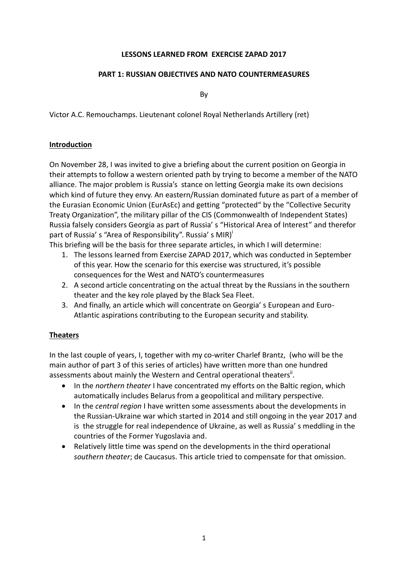### **LESSONS LEARNED FROM EXERCISE ZAPAD 2017**

### **PART 1: RUSSIAN OBJECTIVES AND NATO COUNTERMEASURES**

By

Victor A.C. Remouchamps. Lieutenant colonel Royal Netherlands Artillery (ret)

### **Introduction**

On November 28, I was invited to give a briefing about the current position on Georgia in their attempts to follow a western oriented path by trying to become a member of the NATO alliance. The major problem is Russia's stance on letting Georgia make its own decisions which kind of future they envy. An eastern/Russian dominated future as part of a member of the Eurasian Economic Union (EurAsEc) and getting "protected" by the "Collective Security Treaty Organization", the military pillar of the CIS (Commonwealth of Independent States) Russia falsely considers Georgia as part of Russia' s "Historical Area of Interest" and therefor part of Russia's "Area of Responsibility". Russia's MIR)

This briefing will be the basis for three separate articles, in which I will determine:

- 1. The lessons learned from Exercise ZAPAD 2017, which was conducted in September of this year. How the scenario for this exercise was structured, it's possible consequences for the West and NATO's countermeasures
- 2. A second article concentrating on the actual threat by the Russians in the southern theater and the key role played by the Black Sea Fleet.
- 3. And finally, an article which will concentrate on Georgia' s European and Euro-Atlantic aspirations contributing to the European security and stability.

## **Theaters**

In the last couple of years, I, together with my co-writer Charlef Brantz, (who will be the main author of part 3 of this series of articles) have written more than one hundred assessments about mainly the Western and Central operational theaters<sup>ii</sup>.

- In the *northern theater* I have concentrated my efforts on the Baltic region, which automatically includes Belarus from a geopolitical and military perspective.
- In the *central region* I have written some assessments about the developments in the Russian-Ukraine war which started in 2014 and still ongoing in the year 2017 and is the struggle for real independence of Ukraine, as well as Russia' s meddling in the countries of the Former Yugoslavia and.
- Relatively little time was spend on the developments in the third operational *southern theater*; de Caucasus. This article tried to compensate for that omission.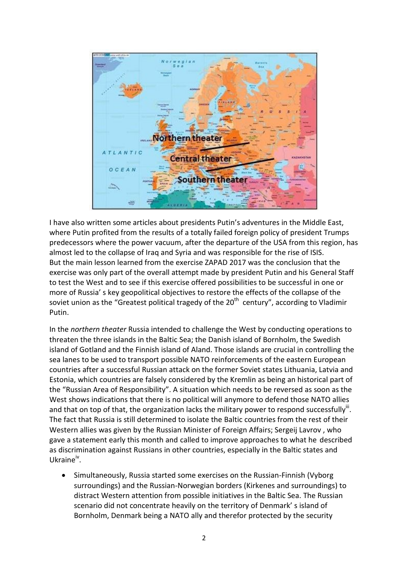

I have also written some articles about presidents Putin's adventures in the Middle East, where Putin profited from the results of a totally failed foreign policy of president Trumps predecessors where the power vacuum, after the departure of the USA from this region, has almost led to the collapse of Iraq and Syria and was responsible for the rise of ISIS. But the main lesson learned from the exercise ZAPAD 2017 was the conclusion that the exercise was only part of the overall attempt made by president Putin and his General Staff to test the West and to see if this exercise offered possibilities to be successful in one or more of Russia' s key geopolitical objectives to restore the effects of the collapse of the soviet union as the "Greatest political tragedy of the  $20^{th}$  century", according to Vladimir Putin.

In the *northern theater* Russia intended to challenge the West by conducting operations to threaten the three islands in the Baltic Sea; the Danish island of Bornholm, the Swedish island of Gotland and the Finnish island of Aland. Those islands are crucial in controlling the sea lanes to be used to transport possible NATO reinforcements of the eastern European countries after a successful Russian attack on the former Soviet states Lithuania, Latvia and Estonia, which countries are falsely considered by the Kremlin as being an historical part of the "Russian Area of Responsibility". A situation which needs to be reversed as soon as the West shows indications that there is no political will anymore to defend those NATO allies and that on top of that, the organization lacks the military power to respond successfully<sup>iii</sup>. The fact that Russia is still determined to isolate the Baltic countries from the rest of their Western allies was given by the Russian Minister of Foreign Affairs; Sergeij Lavrov , who gave a statement early this month and called to improve approaches to what he described as discrimination against Russians in other countries, especially in the Baltic states and Ukraine<sup>iv</sup>.

 Simultaneously, Russia started some exercises on the Russian-Finnish (Vyborg surroundings) and the Russian-Norwegian borders (Kirkenes and surroundings) to distract Western attention from possible initiatives in the Baltic Sea. The Russian scenario did not concentrate heavily on the territory of Denmark' s island of Bornholm, Denmark being a NATO ally and therefor protected by the security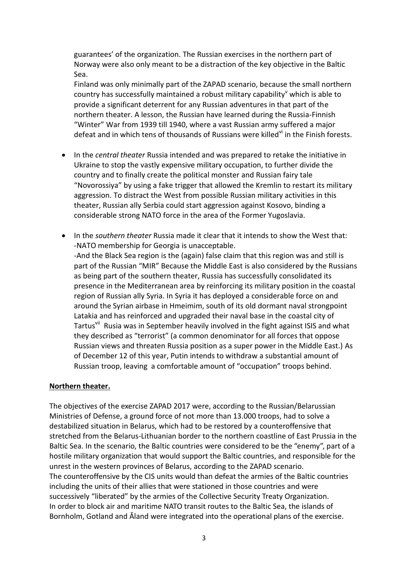guarantees' of the organization. The Russian exercises in the northern part of Norway were also only meant to be a distraction of the key objective in the Baltic Sea.

Finland was only minimally part of the ZAPAD scenario, because the small northern country has successfully maintained a robust military capability which is able to provide a significant deterrent for any Russian adventures in that part of the northern theater. A lesson, the Russian have learned during the Russia-Finnish "Winter" War from 1939 till 1940, where a vast Russian army suffered a major defeat and in which tens of thousands of Russians were killed<sup>vi</sup> in the Finish forests.

- In the *central theater* Russia intended and was prepared to retake the initiative in Ukraine to stop the vastly expensive military occupation, to further divide the country and to finally create the political monster and Russian fairy tale "Novorossiya" by using a fake trigger that allowed the Kremlin to restart its military aggression. To distract the West from possible Russian military activities in this theater, Russian ally Serbia could start aggression against Kosovo, binding a considerable strong NATO force in the area of the Former Yugoslavia.
- In the *southern theater* Russia made it clear that it intends to show the West that: -NATO membership for Georgia is unacceptable. -And the Black Sea region is the (again) false claim that this region was and still is part of the Russian "MIR" Because the Middle East is also considered by the Russians as being part of the southern theater, Russia has successfully consolidated its presence in the Mediterranean area by reinforcing its military position in the coastal region of Russian ally Syria. In Syria it has deployed a considerable force on and around the Syrian airbase in Hmeimim, south of its old dormant naval strongpoint Latakia and has reinforced and upgraded their naval base in the coastal city of Tartus<sup>vii</sup> Rusia was in September heavily involved in the fight against ISIS and what they described as "terrorist" (a common denominator for all forces that oppose Russian views and threaten Russia position as a super power in the Middle East.) As of December 12 of this year, Putin intends to withdraw a substantial amount of Russian troop, leaving a comfortable amount of "occupation" troops behind.

#### **Northern theater.**

The objectives of the exercise ZAPAD 2017 were, according to the Russian/Belarussian Ministries of Defense, a ground force of not more than 13.000 troops, had to solve a destabilized situation in Belarus, which had to be restored by a counteroffensive that stretched from the Belarus-Lithuanian border to the northern coastline of East Prussia in the Baltic Sea. In the scenario, the Baltic countries were considered to be the "enemy", part of a hostile military organization that would support the Baltic countries, and responsible for the unrest in the western provinces of Belarus, according to the ZAPAD scenario. The counteroffensive by the CIS units would than defeat the armies of the Baltic countries including the units of their allies that were stationed in those countries and were successively "liberated" by the armies of the Collective Security Treaty Organization. In order to block air and maritime NATO transit routes to the Baltic Sea, the islands of Bornholm, Gotland and Ăland were integrated into the operational plans of the exercise.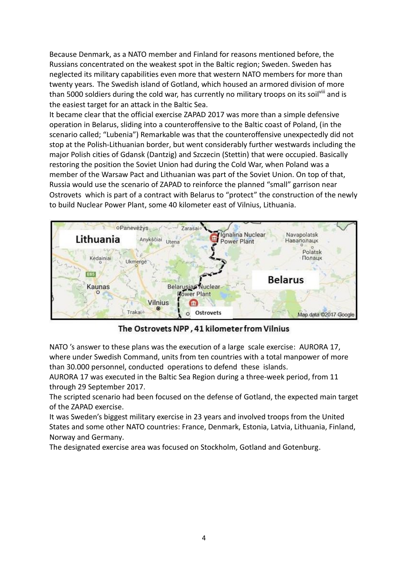Because Denmark, as a NATO member and Finland for reasons mentioned before, the Russians concentrated on the weakest spot in the Baltic region; Sweden. Sweden has neglected its military capabilities even more that western NATO members for more than twenty years. The Swedish island of Gotland, which housed an armored division of more than 5000 soldiers during the cold war, has currently no military troops on its soil<sup>viii</sup> and is the easiest target for an attack in the Baltic Sea.

It became clear that the official exercise ZAPAD 2017 was more than a simple defensive operation in Belarus, sliding into a counteroffensive to the Baltic coast of Poland, (in the scenario called; "Lubenia") Remarkable was that the counteroffensive unexpectedly did not stop at the Polish-Lithuanian border, but went considerably further westwards including the major Polish cities of Gdansk (Dantzig) and Szczecin (Stettin) that were occupied. Basically restoring the position the Soviet Union had during the Cold War, when Poland was a member of the Warsaw Pact and Lithuanian was part of the Soviet Union. On top of that, Russia would use the scenario of ZAPAD to reinforce the planned "small" garrison near Ostrovets which is part of a contract with Belarus to "protect" the construction of the newly to build Nuclear Power Plant, some 40 kilometer east of Vilnius, Lithuania.



The Ostrovets NPP, 41 kilometer from Vilnius

NATO 's answer to these plans was the execution of a large scale exercise: AURORA 17, where under Swedish Command, units from ten countries with a total manpower of more than 30.000 personnel, conducted operations to defend these islands.

AURORA 17 was executed in the Baltic Sea Region during a three-week period, from 11 through 29 September 2017.

The scripted scenario had been focused on the defense of Gotland, the expected main target of the ZAPAD exercise.

It was Sweden's biggest military exercise in 23 years and involved troops from the United States and some other NATO countries: France, Denmark, Estonia, Latvia, Lithuania, Finland, Norway and Germany.

The designated exercise area was focused on Stockholm, Gotland and Gotenburg.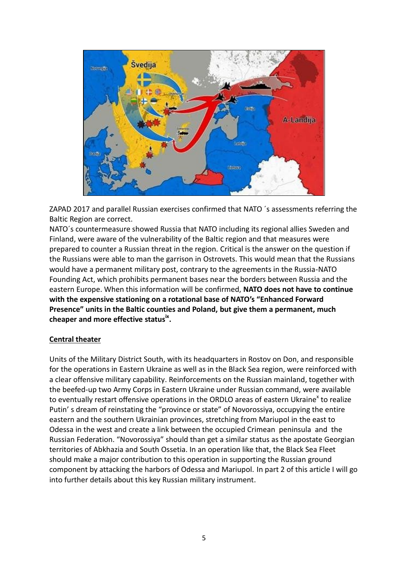

ZAPAD 2017 and parallel Russian exercises confirmed that NATO ´s assessments referring the Baltic Region are correct.

NATO´s countermeasure showed Russia that NATO including its regional allies Sweden and Finland, were aware of the vulnerability of the Baltic region and that measures were prepared to counter a Russian threat in the region. Critical is the answer on the question if the Russians were able to man the garrison in Ostrovets. This would mean that the Russians would have a permanent military post, contrary to the agreements in the Russia-NATO Founding Act, which prohibits permanent bases near the borders between Russia and the eastern Europe. When this information will be confirmed, **NATO does not have to continue with the expensive stationing on a rotational base of NATO's "Enhanced Forward Presence" units in the Baltic counties and Poland, but give them a permanent, much cheaper and more effective statusix .**

## **Central theater**

Units of the Military District South, with its headquarters in Rostov on Don, and responsible for the operations in Eastern Ukraine as well as in the Black Sea region, were reinforced with a clear offensive military capability. Reinforcements on the Russian mainland, together with the beefed-up two Army Corps in Eastern Ukraine under Russian command, were available to eventually restart offensive operations in the ORDLO areas of eastern Ukraine<sup>x</sup> to realize Putin' s dream of reinstating the "province or state" of Novorossiya, occupying the entire eastern and the southern Ukrainian provinces, stretching from Mariupol in the east to Odessa in the west and create a link between the occupied Crimean peninsula and the Russian Federation. "Novorossiya" should than get a similar status as the apostate Georgian territories of Abkhazia and South Ossetia. In an operation like that, the Black Sea Fleet should make a major contribution to this operation in supporting the Russian ground component by attacking the harbors of Odessa and Mariupol. In part 2 of this article I will go into further details about this key Russian military instrument.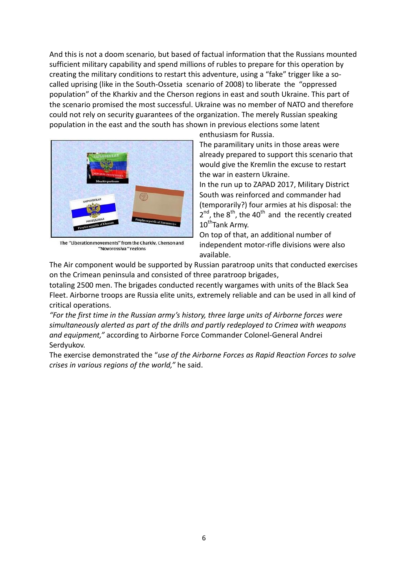And this is not a doom scenario, but based of factual information that the Russians mounted sufficient military capability and spend millions of rubles to prepare for this operation by creating the military conditions to restart this adventure, using a "fake" trigger like a socalled uprising (like in the South-Ossetia scenario of 2008) to liberate the "oppressed population" of the Kharkiv and the Cherson regions in east and south Ukraine. This part of the scenario promised the most successful. Ukraine was no member of NATO and therefore could not rely on security guarantees of the organization. The merely Russian speaking population in the east and the south has shown in previous elections some latent



The "Liberation movements" from the Charkiy, Cherson and "Novorossiva "regions

enthusiasm for Russia.

The paramilitary units in those areas were already prepared to support this scenario that would give the Kremlin the excuse to restart the war in eastern Ukraine.

In the run up to ZAPAD 2017, Military District South was reinforced and commander had (temporarily?) four armies at his disposal: the  $2^{nd}$ , the  $8^{th}$ , the 40<sup>th</sup> and the recently created 10<sup>th</sup>Tank Army.

On top of that, an additional number of independent motor-rifle divisions were also available.

The Air component would be supported by Russian paratroop units that conducted exercises on the Crimean peninsula and consisted of three paratroop brigades,

totaling 2500 men. The brigades conducted recently wargames with units of the Black Sea Fleet. Airborne troops are Russia elite units, extremely reliable and can be used in all kind of critical operations.

*"For the first time in the Russian army's history, three large units of Airborne forces were simultaneously alerted as part of the drills and partly redeployed to Crimea with weapons and equipment,"* according to Airborne Force Commander Colonel-General Andrei Serdyukov.

The exercise demonstrated the "*use of the Airborne Forces as Rapid Reaction Forces to solve crises in various regions of the world,"* he said.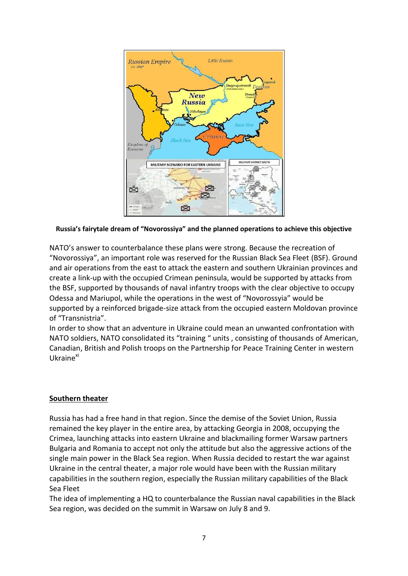

**Russia's fairytale dream of "Novorossiya" and the planned operations to achieve this objective**

NATO's answer to counterbalance these plans were strong. Because the recreation of "Novorossiya", an important role was reserved for the Russian Black Sea Fleet (BSF). Ground and air operations from the east to attack the eastern and southern Ukrainian provinces and create a link-up with the occupied Crimean peninsula, would be supported by attacks from the BSF, supported by thousands of naval infantry troops with the clear objective to occupy Odessa and Mariupol, while the operations in the west of "Novorossyia" would be supported by a reinforced brigade-size attack from the occupied eastern Moldovan province of "Transnistria".

In order to show that an adventure in Ukraine could mean an unwanted confrontation with NATO soldiers, NATO consolidated its "training " units , consisting of thousands of American, Canadian, British and Polish troops on the Partnership for Peace Training Center in western Ukraine<sup>xi</sup>

# **Southern theater**

Russia has had a free hand in that region. Since the demise of the Soviet Union, Russia remained the key player in the entire area, by attacking Georgia in 2008, occupying the Crimea, launching attacks into eastern Ukraine and blackmailing former Warsaw partners Bulgaria and Romania to accept not only the attitude but also the aggressive actions of the single main power in the Black Sea region. When Russia decided to restart the war against Ukraine in the central theater, a major role would have been with the Russian military capabilities in the southern region, especially the Russian military capabilities of the Black Sea Fleet

The idea of implementing a HQ to counterbalance the Russian naval capabilities in the Black Sea region, was decided on the summit in Warsaw on July 8 and 9.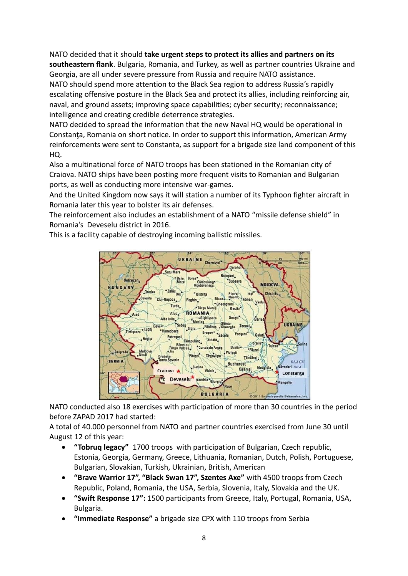NATO decided that it should **take urgent steps to protect its allies and partners on its southeastern flank**. Bulgaria, Romania, and Turkey, as well as partner countries Ukraine and Georgia, are all under severe pressure from Russia and require NATO assistance. NATO should spend more attention to the Black Sea region to address Russia's rapidly escalating offensive posture in the Black Sea and protect its allies, including reinforcing air, naval, and ground assets; improving space capabilities; cyber security; reconnaissance; intelligence and creating credible deterrence strategies.

NATO decided to spread the information that the new Naval HQ would be operational in Constanta, Romania on short notice. In order to support this information, American Army reinforcements were sent to Constanta, as support for a brigade size land component of this HQ.

Also a multinational force of NATO troops has been stationed in the Romanian city of Craiova. NATO ships have been posting more frequent visits to Romanian and Bulgarian ports, as well as conducting more intensive war-games.

And the United Kingdom now says it will station a number of its Typhoon fighter aircraft in Romania later this year to bolster its air defenses.

The reinforcement also includes an establishment of a NATO "missile defense shield" in Romania's Deveselu district in 2016.

This is a facility capable of destroying incoming ballistic missiles.



NATO conducted also 18 exercises with participation of more than 30 countries in the period before ZAPAD 2017 had started:

A total of 40.000 personnel from NATO and partner countries exercised from June 30 until August 12 of this year:

- **"Tobruq legacy"** 1700 troops with participation of Bulgarian, Czech republic, Estonia, Georgia, Germany, Greece, Lithuania, Romanian, Dutch, Polish, Portuguese, Bulgarian, Slovakian, Turkish, Ukrainian, British, American
- **"Brave Warrior 17", "Black Swan 17", Szentes Axe"** with 4500 troops from Czech Republic, Poland, Romania, the USA, Serbia, Slovenia, Italy, Slovakia and the UK.
- **"Swift Response 17":** 1500 participants from Greece, Italy, Portugal, Romania, USA, Bulgaria.
- **"Immediate Response"** a brigade size CPX with 110 troops from Serbia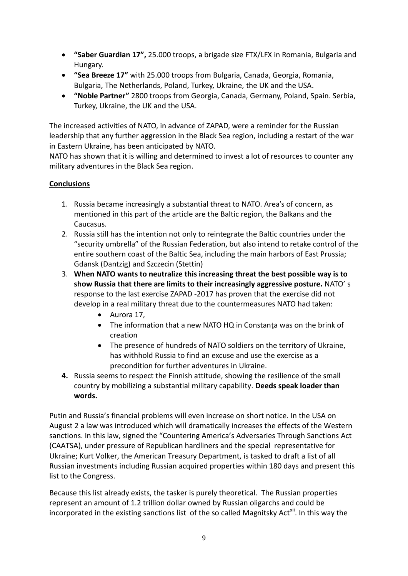- **"Saber Guardian 17",** 25.000 troops, a brigade size FTX/LFX in Romania, Bulgaria and Hungary.
- **"Sea Breeze 17"** with 25.000 troops from Bulgaria, Canada, Georgia, Romania, Bulgaria, The Netherlands, Poland, Turkey, Ukraine, the UK and the USA.
- **"Noble Partner"** 2800 troops from Georgia, Canada, Germany, Poland, Spain. Serbia, Turkey, Ukraine, the UK and the USA.

The increased activities of NATO, in advance of ZAPAD, were a reminder for the Russian leadership that any further aggression in the Black Sea region, including a restart of the war in Eastern Ukraine, has been anticipated by NATO.

NATO has shown that it is willing and determined to invest a lot of resources to counter any military adventures in the Black Sea region.

# **Conclusions**

- 1. Russia became increasingly a substantial threat to NATO. Area's of concern, as mentioned in this part of the article are the Baltic region, the Balkans and the Caucasus.
- 2. Russia still has the intention not only to reintegrate the Baltic countries under the "security umbrella" of the Russian Federation, but also intend to retake control of the entire southern coast of the Baltic Sea, including the main harbors of East Prussia; Gdansk (Dantzig) and Szczecin (Stettin)
- 3. **When NATO wants to neutralize this increasing threat the best possible way is to show Russia that there are limits to their increasingly aggressive posture.** NATO' s response to the last exercise ZAPAD -2017 has proven that the exercise did not develop in a real military threat due to the countermeasures NATO had taken:
	- Aurora 17,
	- The information that a new NATO HQ in Constanţa was on the brink of creation
	- The presence of hundreds of NATO soldiers on the territory of Ukraine, has withhold Russia to find an excuse and use the exercise as a precondition for further adventures in Ukraine.
- **4.** Russia seems to respect the Finnish attitude, showing the resilience of the small country by mobilizing a substantial military capability. **Deeds speak loader than words.**

Putin and Russia's financial problems will even increase on short notice. In the USA on August 2 a law was introduced which will dramatically increases the effects of the Western sanctions. In this law, signed the "Countering America's Adversaries Through Sanctions Act (CAATSA), under pressure of Republican hardliners and the special representative for Ukraine; Kurt Volker, the American Treasury Department, is tasked to draft a list of all Russian investments including Russian acquired properties within 180 days and present this list to the Congress.

Because this list already exists, the tasker is purely theoretical. The Russian properties represent an amount of 1.2 trillion dollar owned by Russian oligarchs and could be incorporated in the existing sanctions list of the so called Magnitsky Act<sup>xii</sup>. In this way the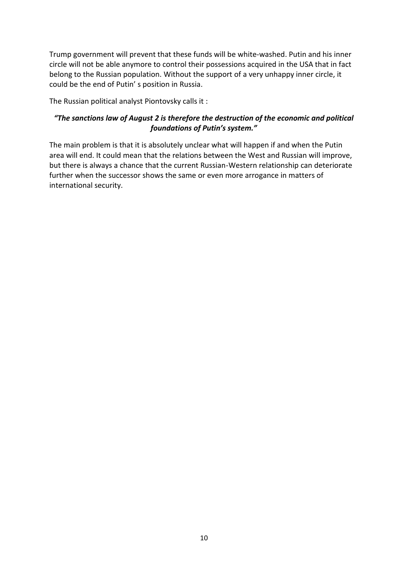Trump government will prevent that these funds will be white-washed. Putin and his inner circle will not be able anymore to control their possessions acquired in the USA that in fact belong to the Russian population. Without the support of a very unhappy inner circle, it could be the end of Putin' s position in Russia.

The Russian political analyst Piontovsky calls it :

# *"The sanctions law of August 2 is therefore the destruction of the economic and political foundations of Putin's system."*

The main problem is that it is absolutely unclear what will happen if and when the Putin area will end. It could mean that the relations between the West and Russian will improve, but there is always a chance that the current Russian-Western relationship can deteriorate further when the successor shows the same or even more arrogance in matters of international security.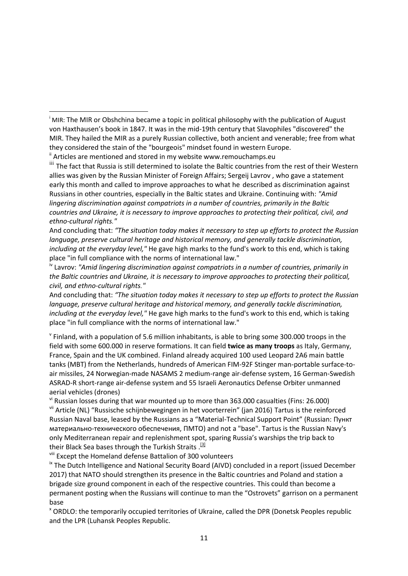And concluding that: *"The situation today makes it necessary to step up efforts to protect the Russian language, preserve cultural heritage and historical memory, and generally tackle discrimination, including at the everyday level,"* He gave high marks to the fund's work to this end, which is taking place "in full compliance with the norms of international law."

iv Lavrov: *"Amid lingering discrimination against compatriots in a number of countries, primarily in the Baltic countries and Ukraine, it is necessary to improve approaches to protecting their political, civil, and ethno-cultural rights."*

And concluding that: *"The situation today makes it necessary to step up efforts to protect the Russian language, preserve cultural heritage and historical memory, and generally tackle discrimination, including at the everyday level,"* He gave high marks to the fund's work to this end, which is taking place "in full compliance with the norms of international law."

 $\mathrm{v}$  Finland, with a population of 5.6 million inhabitants, is able to bring some 300.000 troops in the field with some 600.000 in reserve formations. It can field **twice as many troops** as Italy, Germany, France, Spain and the UK combined. Finland already acquired 100 used Leopard 2A6 main battle tanks (MBT) from the Netherlands, hundreds of American FIM-92F Stinger man-portable surface-toair missiles, 24 Norwegian-made NASAMS 2 medium-range air-defense system, 16 German-Swedish ASRAD-R short-range air-defense system and 55 Israeli Aeronautics Defense Orbiter unmanned aerial vehicles (drones)

 $v<sup>i</sup>$  Russian losses during that war mounted up to more than 363.000 casualties (Fins: 26.000) vii Article (NL) "Russische schijnbewegingen in het voorterrein" (jan 2016) Tartus is the reinforced Russian Naval base, leased by the Russians as a "Material-Technical Support Point" (Russian: Пункт материально-технического обеспечения, ПМТО) and not a "base". Tartus is the Russian Navy's only Mediterranean repair and replenishment spot, sparing Russia's warships the trip back to their Black Sea bases through the Turkish Straits.<sup>[\[3\]](https://en.wikipedia.org/wiki/Russian_naval_facility_in_Tartus#cite_note-3)</sup>

viii Except the Homeland defense Battalion of 300 volunteers

<sup>ix</sup> The Dutch Intelligence and National Security Board (AIVD) concluded in a report (issued December 2017) that NATO should strengthen its presence in the Baltic countries and Poland and station a brigade size ground component in each of the respective countries. This could than become a permanent posting when the Russians will continue to man the "Ostrovets" garrison on a permanent base

<sup>x</sup> ORDLO: the temporarily occupied territories of Ukraine, called the DPR (Donetsk Peoples republic and the LPR (Luhansk Peoples Republic.

**<sup>.</sup>** <sup>i</sup> MIR: The MIR or Obshchina became a topic in political philosophy with the publication of August von Haxthausen's book in 1847. It was in the mid-19th century that Slavophiles "discovered" the MIR. They hailed the MIR as a purely Russian collective, both ancient and venerable; free from what they considered the stain of the "bourgeois" mindset found in western Europe.

 $\mathbf{u}$  Articles are mentioned and stored in my website www.remouchamps.eu

iii The fact that Russia is still determined to isolate the Baltic countries from the rest of their Western allies was given by the Russian Minister of Foreign Affairs; Sergeij Lavrov , who gave a statement early this month and called to improve approaches to what he described as discrimination against Russians in other countries, especially in the Baltic states and Ukraine. Continuing with: *"Amid lingering discrimination against compatriots in a number of countries, primarily in the Baltic countries and Ukraine, it is necessary to improve approaches to protecting their political, civil, and ethno-cultural rights."*